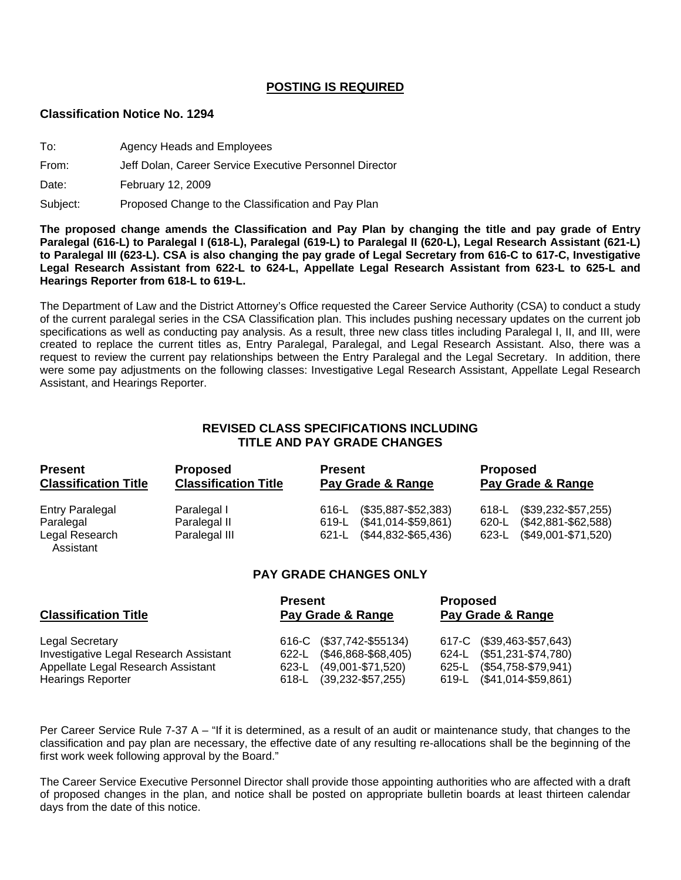## **POSTING IS REQUIRED**

#### **Classification Notice No. 1294**

| To: | Agency Heads and Employees |  |
|-----|----------------------------|--|
|     |                            |  |

#### From: Jeff Dolan, Career Service Executive Personnel Director

Date: February 12, 2009

Subject: Proposed Change to the Classification and Pay Plan

**The proposed change amends the Classification and Pay Plan by changing the title and pay grade of Entry Paralegal (616-L) to Paralegal I (618-L), Paralegal (619-L) to Paralegal II (620-L), Legal Research Assistant (621-L) to Paralegal III (623-L). CSA is also changing the pay grade of Legal Secretary from 616-C to 617-C, Investigative Legal Research Assistant from 622-L to 624-L, Appellate Legal Research Assistant from 623-L to 625-L and Hearings Reporter from 618-L to 619-L.** 

The Department of Law and the District Attorney's Office requested the Career Service Authority (CSA) to conduct a study of the current paralegal series in the CSA Classification plan. This includes pushing necessary updates on the current job specifications as well as conducting pay analysis. As a result, three new class titles including Paralegal I, II, and III, were created to replace the current titles as, Entry Paralegal, Paralegal, and Legal Research Assistant. Also, there was a request to review the current pay relationships between the Entry Paralegal and the Legal Secretary. In addition, there were some pay adjustments on the following classes: Investigative Legal Research Assistant, Appellate Legal Research Assistant, and Hearings Reporter.

# **REVISED CLASS SPECIFICATIONS INCLUDING TITLE AND PAY GRADE CHANGES**

| <b>Present</b><br><b>Classification Title</b><br><b>Entry Paralegal</b> | <b>Proposed</b><br><b>Classification Title</b> | <b>Present</b><br>Pay Grade & Range | <b>Proposed</b><br>Pay Grade & Range |  |
|-------------------------------------------------------------------------|------------------------------------------------|-------------------------------------|--------------------------------------|--|
|                                                                         | Paralegal I                                    | $($35,887 - $52,383)$<br>616-L      | $(1, 39, 232 - 557, 255)$<br>618-L   |  |
| Paralegal                                                               | Paralegal II                                   | $($41,014-$59,861)$<br>619-L        | $($42,881 - $62,588)$<br>620-L       |  |
| Legal Research<br>Assistant                                             | Paralegal III                                  | 621-L (\$44,832-\$65,436)           | 623-L (\$49,001-\$71,520)            |  |

## **PAY GRADE CHANGES ONLY**

| <b>Classification Title</b>                                    | <b>Present</b><br>Pay Grade & Range |                                                       | <b>Proposed</b><br>Pay Grade & Range |                                                        |
|----------------------------------------------------------------|-------------------------------------|-------------------------------------------------------|--------------------------------------|--------------------------------------------------------|
| Legal Secretary<br>Investigative Legal Research Assistant      |                                     | 616-C (\$37,742-\$55134)<br>622-L (\$46,868-\$68,405) |                                      | 617-C (\$39,463-\$57,643)<br>624-L (\$51,231-\$74,780) |
| Appellate Legal Research Assistant<br><b>Hearings Reporter</b> | 618-L                               | 623-L (49,001-\$71,520)<br>$(39, 232 - $57, 255)$     |                                      | 625-L (\$54,758-\$79,941)<br>619-L (\$41,014-\$59,861) |

Per Career Service Rule 7-37 A – "If it is determined, as a result of an audit or maintenance study, that changes to the classification and pay plan are necessary, the effective date of any resulting re-allocations shall be the beginning of the first work week following approval by the Board."

The Career Service Executive Personnel Director shall provide those appointing authorities who are affected with a draft of proposed changes in the plan, and notice shall be posted on appropriate bulletin boards at least thirteen calendar days from the date of this notice.